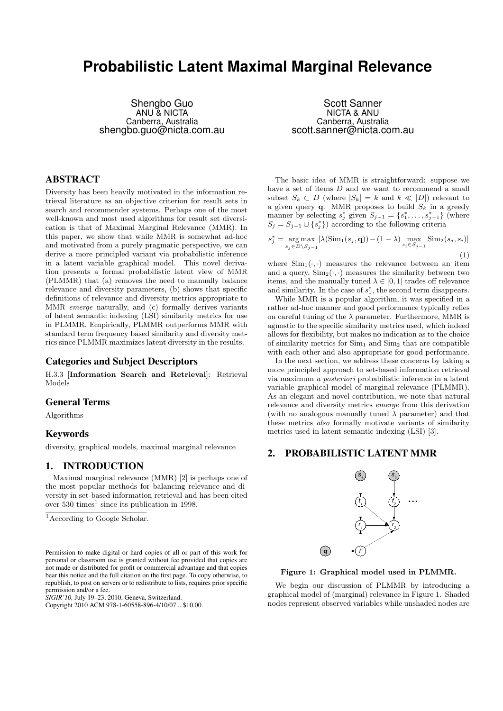# **Probabilistic Latent Maximal Marginal Relevance**

Shengbo Guo ANU & NICTA Canberra, Australia shengbo.guo@nicta.com.au

## ABSTRACT

Diversity has been heavily motivated in the information retrieval literature as an objective criterion for result sets in search and recommender systems. Perhaps one of the most well-known and most used algorithms for result set diversication is that of Maximal Marginal Relevance (MMR). In this paper, we show that while MMR is somewhat ad-hoc and motivated from a purely pragmatic perspective, we can derive a more principled variant via probabilistic inference in a latent variable graphical model. This novel derivation presents a formal probabilistic latent view of MMR (PLMMR) that (a) removes the need to manually balance relevance and diversity parameters, (b) shows that specific definitions of relevance and diversity metrics appropriate to MMR emerge naturally, and (c) formally derives variants of latent semantic indexing (LSI) similarity metrics for use in PLMMR. Empirically, PLMMR outperforms MMR with standard term frequency based similarity and diversity metrics since PLMMR maximizes latent diversity in the results.

## Categories and Subject Descriptors

H.3.3 [Information Search and Retrieval]: Retrieval Models

## General Terms

Algorithms

## Keywords

diversity, graphical models, maximal marginal relevance

# 1. INTRODUCTION

Maximal marginal relevance (MMR) [2] is perhaps one of the most popular methods for balancing relevance and diversity in set-based information retrieval and has been cited over  $530 \times$  times<sup>1</sup> since its publication in 1998.

*SIGIR'10,* July 19–23, 2010, Geneva, Switzerland.

Copyright 2010 ACM 978-1-60558-896-4/10/07 ...\$10.00.

Scott Sanner NICTA & ANU Canberra, Australia scott.sanner@nicta.com.au

The basic idea of MMR is straightforward: suppose we have a set of items  $D$  and we want to recommend a small subset  $S_k \subset D$  (where  $|S_k| = k$  and  $k \ll |D|$ ) relevant to a given query  $\mathbf{q}$ . MMR proposes to build  $S_k$  in a greedy manner by selecting  $s_j^*$  given  $S_{j-1} = \{s_1^*, \ldots, s_{j-1}^*\}$  (where  $S_j = S_{j-1} \cup \{s_j^*\}\$  according to the following criteria

$$
s_j^* = \underset{s_j \in D \setminus S_{j-1}}{\arg \max} \left[ \lambda(\text{Sim}_1(s_j, \mathbf{q})) - (1 - \lambda) \underset{s_i \in S_{j-1}}{\max} \text{Sim}_2(s_j, s_i) \right]
$$
\n(1)

where  $Sim_1(\cdot, \cdot)$  measures the relevance between an item and a query,  $\mathrm{Sim}_2(\cdot, \cdot)$  measures the similarity between two items, and the manually tuned  $\lambda \in [0,1]$  trades off relevance and similarity. In the case of  $s_1^*$ , the second term disappears.

While MMR is a popular algorithm, it was specified in a rather ad-hoc manner and good performance typically relies on careful tuning of the  $\lambda$  parameter. Furthermore, MMR is agnostic to the specific similarity metrics used, which indeed allows for flexibility, but makes no indication as to the choice of similarity metrics for  $Sim<sub>1</sub>$  and  $Sim<sub>2</sub>$  that are compatible with each other and also appropriate for good performance.

In the next section, we address these concerns by taking a more principled approach to set-based information retrieval via maximum a posteriori probabilistic inference in a latent variable graphical model of marginal relevance (PLMMR). As an elegant and novel contribution, we note that natural relevance and diversity metrics emerge from this derivation (with no analogous manually tuned  $\lambda$  parameter) and that these metrics also formally motivate variants of similarity metrics used in latent semantic indexing (LSI) [3].

## 2. PROBABILISTIC LATENT MMR



Figure 1: Graphical model used in PLMMR.

We begin our discussion of PLMMR by introducing a graphical model of (marginal) relevance in Figure 1. Shaded nodes represent observed variables while unshaded nodes are

<sup>&</sup>lt;sup>1</sup> According to Google Scholar.

Permission to make digital or hard copies of all or part of this work for personal or classroom use is granted without fee provided that copies are not made or distributed for profit or commercial advantage and that copies bear this notice and the full citation on the first page. To copy otherwise, to republish, to post on servers or to redistribute to lists, requires prior specific permission and/or a fee.